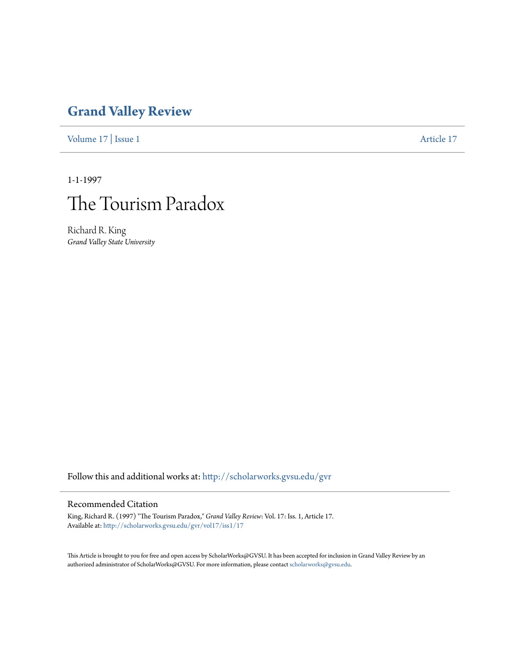# **[Grand Valley Review](http://scholarworks.gvsu.edu/gvr?utm_source=scholarworks.gvsu.edu%2Fgvr%2Fvol17%2Fiss1%2F17&utm_medium=PDF&utm_campaign=PDFCoverPages)**

[Volume 17](http://scholarworks.gvsu.edu/gvr/vol17?utm_source=scholarworks.gvsu.edu%2Fgvr%2Fvol17%2Fiss1%2F17&utm_medium=PDF&utm_campaign=PDFCoverPages) | [Issue 1](http://scholarworks.gvsu.edu/gvr/vol17/iss1?utm_source=scholarworks.gvsu.edu%2Fgvr%2Fvol17%2Fiss1%2F17&utm_medium=PDF&utm_campaign=PDFCoverPages) [Article 17](http://scholarworks.gvsu.edu/gvr/vol17/iss1/17?utm_source=scholarworks.gvsu.edu%2Fgvr%2Fvol17%2Fiss1%2F17&utm_medium=PDF&utm_campaign=PDFCoverPages)

1-1-1997



Richard R. King *Grand Valley State University*

Follow this and additional works at: [http://scholarworks.gvsu.edu/gvr](http://scholarworks.gvsu.edu/gvr?utm_source=scholarworks.gvsu.edu%2Fgvr%2Fvol17%2Fiss1%2F17&utm_medium=PDF&utm_campaign=PDFCoverPages)

### Recommended Citation

King, Richard R. (1997) "The Tourism Paradox," *Grand Valley Review*: Vol. 17: Iss. 1, Article 17. Available at: [http://scholarworks.gvsu.edu/gvr/vol17/iss1/17](http://scholarworks.gvsu.edu/gvr/vol17/iss1/17?utm_source=scholarworks.gvsu.edu%2Fgvr%2Fvol17%2Fiss1%2F17&utm_medium=PDF&utm_campaign=PDFCoverPages)

This Article is brought to you for free and open access by ScholarWorks@GVSU. It has been accepted for inclusion in Grand Valley Review by an authorized administrator of ScholarWorks@GVSU. For more information, please contact [scholarworks@gvsu.edu.](mailto:scholarworks@gvsu.edu)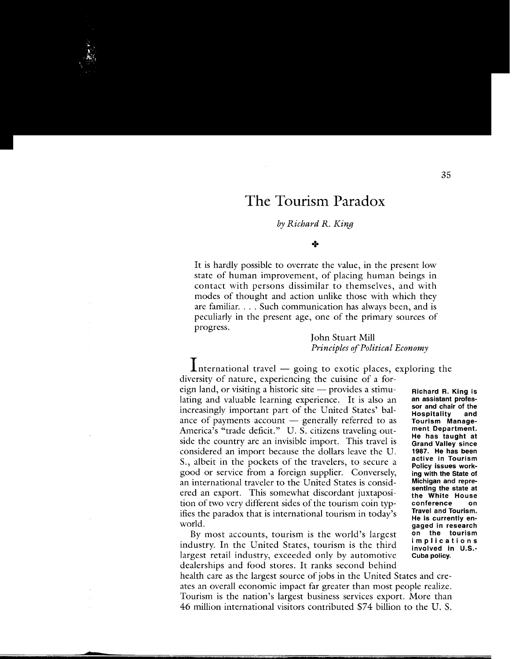## **The Tourism Paradox**

#### *by Richard R. King*

#### +

It is hardly possible to overrate the value, in the present low state of human improvement, of placing human beings in contact with persons dissimilar to themselves, and with modes of thought and action unlike those with which they are familiar. . . . Such communication has always been, and is peculiarly in the present age, one of the primary sources of progress.

#### John Stuart Mill *Principles of Political Economy*

 $\mathbf 1$ nternational travel — going to exotic places, exploring the diversity of nature, experiencing the cuisine of a foreign land, or visiting a historic site - provides a stimulating and valuable learning experience. It is also an increasingly important part of the United States' balance of payments account  $-$  generally referred to as America's "trade deficit." U.S. citizens traveling outside the country are an invisible import. This travel is considered an import because the dollars leave the U. S., albeit in the pockets of the travelers, to secure a good or service from a foreign supplier. Conversely, an international traveler to the United States is considered an export. This somewhat discordant juxtaposition of two very different sides of the tourism coin typifies the paradox that is international tourism in today's world.

By most accounts, tourism is the world's largest industry. In the United States, tourism is the third largest retail industry, exceeded only by automotive dealerships and food stores. It ranks second behind

**Richard R. King is an assistant professor and chair of the Hospitality and Tourism Management Department. He has taught at Grand Valley since 1987. He has been active in Tourism Policy issues working with the State of Michigan and representing the state at the White House conference on Travel and Tourism. He is currently engaged in research on the tourism implications involved in U.S.- Cuba policy.** 

health care as the largest source of jobs in the United States and creates an overall economic impact far greater than most people realize. Tourism is the nation's largest business services export. More than 46 million international visitors contributed \$74 billion to the U. S.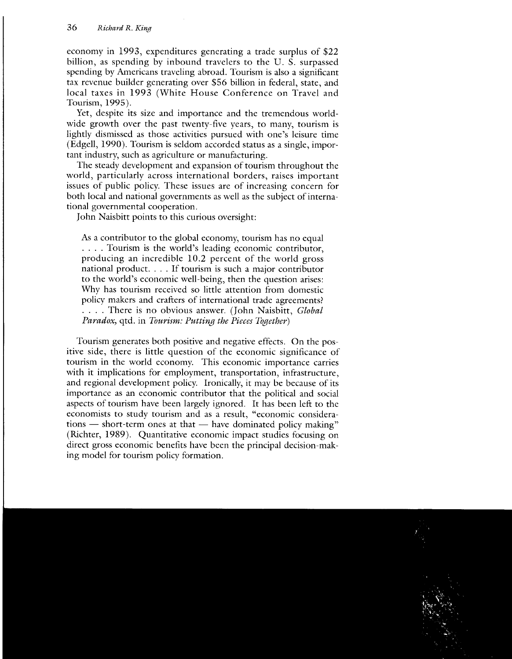economy in 1993, expenditures generating a trade surplus of \$22 billion, as spending by inbound travelers to the U. S. surpassed spending by Americans traveling abroad. Tourism is also a significant tax revenue builder generating over \$56 billion in federal, state, and local taxes in 1993 (White House Conference on Travel and Tourism, 1995).

Yet, despite its size and importance and the tremendous worldwide growth over the past twenty-five years, to many, tourism is lightly dismissed as those activities pursued with one's leisure time (Edgell, 1990). Tourism is seldom accorded status as a single, important industry, such as agriculture or manufacturing.

The steady development and expansion of tourism throughout the world, particularly across international borders, raises important issues of public policy. These issues are of increasing concern for both local and national governments as well as the subject of international governmental cooperation.

John Naisbitt points to this curious oversight:

As a contributor to the global economy, tourism has no equal .... Tourism is the world's leading economic contributor, producing an incredible 10.2 percent of the world gross national product. . . . If tourism is such a major contributor to the world's economic well-being, then the question arises: Why has tourism received so little attention from domestic policy makers and crafters of international trade agreements? .... There is no obvious answer. (John Naisbitt, *Global Paradox,* qtd. in *Tourism: Putting the Pieces Together)* 

Tourism generates both positive and negative effects. On the positive side, there is little question of the economic significance of tourism in the world economy. This economic importance carries with it implications for employment, transportation, infrastructure, and regional development policy. Ironically, it may be because of its importance as an economic contributor that the political and social aspects of tourism have been largely ignored. It has been left to the economists to study tourism and as a result, "economic considera $tions$  - short-term ones at that - have dominated policy making" (Richter, 1989). Quantitative economic impact studies focusing on direct gross economic benefits have been the principal decision-making model for tourism policy formation.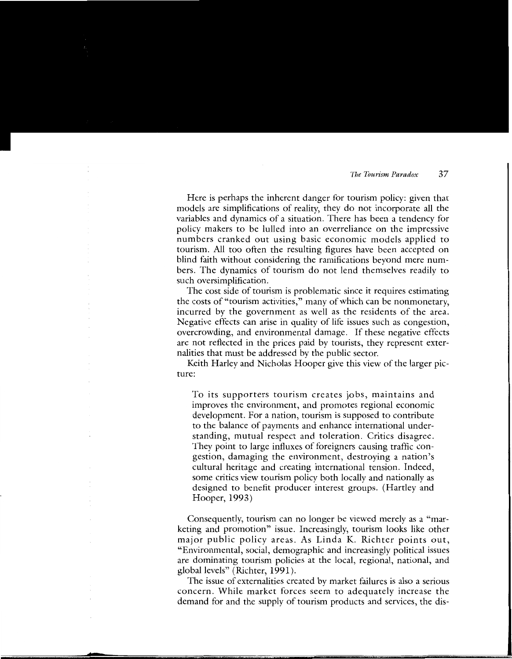Here is perhaps the inherent danger for tourism policy: given that models are simplifications of reality, they do not incorporate all the variables and dynamics of a situation. There has been a tendency for policy makers to be lulled into an overreliance on the impressive numbers cranked out using basic economic models applied to tourism. All too often the resulting figures have been accepted on blind faith without considering the ramifications beyond mere numbers. The dynamics of tourism do not lend themselves readily to such oversimplification.

The cost side of tourism is problematic since it requires estimating the costs of "tourism activities," many of which can be nonmonetary, incurred by the government as well as the residents of the area. Negative effects can arise in quality of life issues such as congestion, overcrowding, and environmental damage. If these negative effects are not reflected in the prices paid by tourists, they represent externalities that must be addressed by the public sector.

Keith Harley and Nicholas Hooper give this view of the larger picture:

To its supporters tourism creates jobs, maintains and improves the environment, and promotes regional economic development. For a nation, tourism is supposed to contribute to the balance of payments and enhance international understanding, mutual respect and toleration. Critics disagree. They point to large influxes of foreigners causing traffic congestion, damaging the environment, destroying a nation's cultural heritage and creating international tension. Indeed, some critics view tourism policy both locally and nationally as designed to benefit producer interest groups. (Hartley and Hooper, 1993)

Consequently, tourism can no longer be viewed merely as a "marketing and promotion" issue. Increasingly, tourism looks like other major public policy areas. As Linda K. Richter points out, "Environmental, social, demographic and increasingly political issues are dominating tourism policies at the local, regional, national, and global levels" (Richter, 1991).

The issue of externalities created by market failures is also a serious concern. While market forces seem to adequately increase the demand for and the supply of tourism products and services, the dis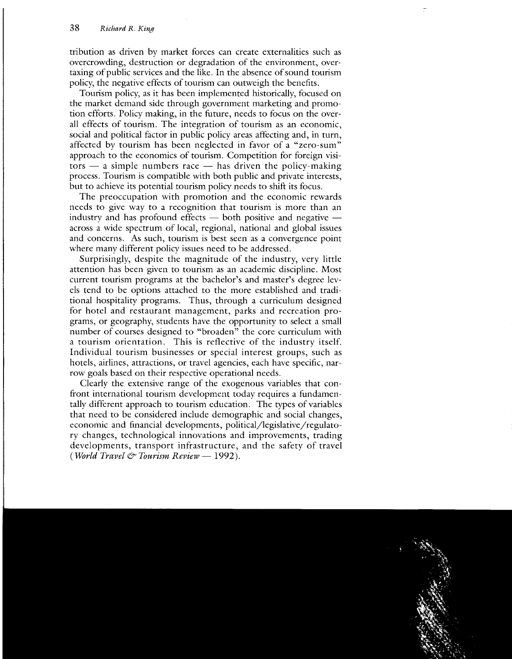tribution as driven by market forces can create externalities such as overcrowding, destruction or degradation of the environment, overtaxing of public services and the like. In the absence of sound tourism policy, the negative effects of tourism can outweigh the benefits.

Tourism policy, as it has been implemented historically, focused on the market demand side through government marketing and promotion efforts. Policy making, in the future, needs to focus on the overall effects of tourism. The integration of tourism as an economic, social and political factor in public policy areas affecting and, in turn, affected by tourism has been neglected in favor of a "zero-sum" approach to the economics of tourism. Competition for foreign visi $tors - a$  simple numbers race  $-$  has driven the policy-making process. Tourism is compatible with both public and private interests, but to achieve its potential tourism policy needs to shift its focus.

The preoccupation with promotion and the economic rewards needs to give way to a recognition that tourism is more than an industry and has profound effects  $-$  both positive and negative  $$ across a wide spectrum of local, regional, national and global issues and concerns. As such, tourism is best seen as a convergence point where many different policy issues need to be addressed.

Surprisingly, despite the magnitude of the industry, very little attention has been given to tourism as an academic discipline. Most current tourism programs at the bachelor's and master's degree levels tend to be options attached to the more established and traditional hospitality programs. Thus, through a curriculum designed for hotel and restaurant management, parks and recreation programs, or geography, students have the opportunity to select a small number of courses designed to "broaden" the core curriculum with a tourism orientation. This is reflective of the industry itself. Individual tourism businesses or special interest groups, such as hotels, airlines, attractions, or travel agencies, each have specific, narrow goals based on their respective operational needs.

Clearly the extensive range of the exogenous variables that confront international tourism development today requires a fundamentally different approach to tourism education. The types of variables that need to be considered include demographic and social changes, economic and financial developments, political/legislative/regulatory changes, technological innovations and improvements, trading developments, transport infrastructure, and the safety of travel *(World Travel* & *Tourism Review-* 1992).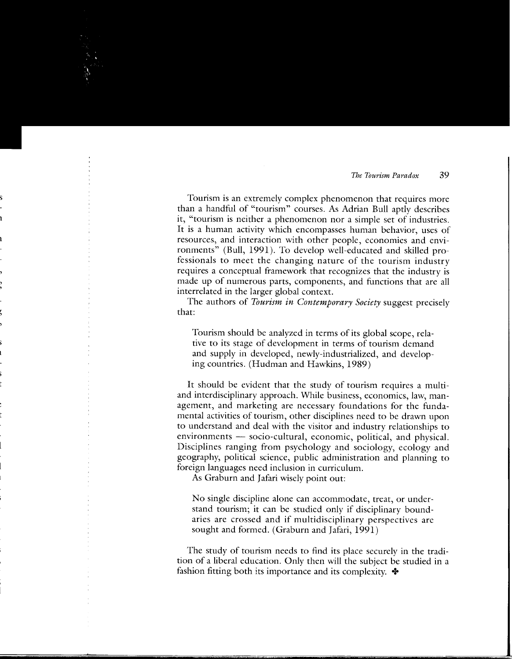Tourism is an extremely complex phenomenon that requires more than a handful of "tourism" courses. As Adrian Bull aptly describes it, "tourism is neither a phenomenon nor a simple set of industries. It is a human activity which encompasses human behavior, uses of resources, and interaction with other people, economies and environments" (Bull, 1991). To develop well-educated and skilled professionals to meet the changing nature of the tourism industry requires a conceptual framework that recognizes that the industry is made up of numerous parts, components, and functions that are all interrelated in the larger global context.

The authors of *Tourism in Contemporary Society* suggest precisely that:

Tourism should be analyzed in terms of its global scope, relative to its stage of development in terms of tourism demand and supply in developed, newly-industrialized, and developing countries. (Hudman and Hawkins, 1989)

It should be evident that the study of tourism requires a multiand interdisciplinary approach. While business, economics, law, management, and marketing are necessary foundations for the fundamental activities of tourism, other disciplines need to be drawn upon to understand and deal with the visitor and industry relationships to environments - socio-cultural, economic, political, and physical. Disciplines ranging from psychology and sociology, ecology and geography, political science, public administration and planning to foreign languages need inclusion in curriculum.

As Graburn and Jafari wisely point out:

No single discipline alone can accommodate, treat, or understand tourism; it can be studied only if disciplinary boundaries are crossed and if multidisciplinary perspectives are sought and formed. (Graburn and Jafari, 1991)

The study of tourism needs to find its place securely in the tradition of a liberal education. Only then will the subject be studied in a fashion fitting both its importance and its complexity.  $\triangleleft$